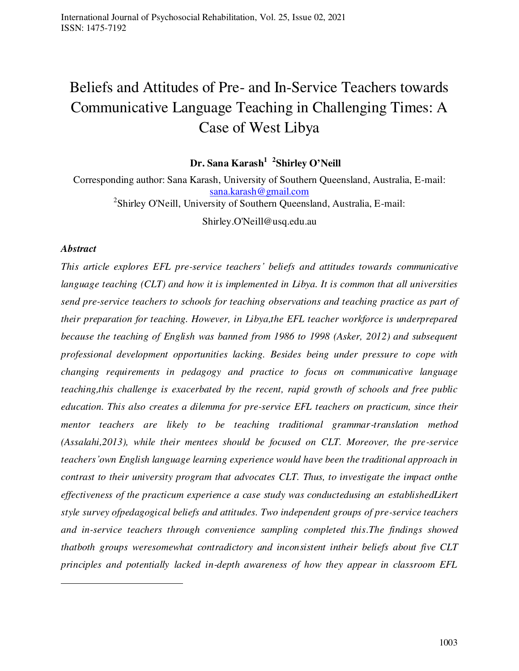# Beliefs and Attitudes of Pre- and In-Service Teachers towards Communicative Language Teaching in Challenging Times: A Case of West Libya

 **Dr. Sana Karash<sup>1</sup> 2 Shirley O'Neill** 

Corresponding author: Sana Karash, University of Southern Queensland, Australia, E-mail: [sana.karash@gmail.com](mailto:sana.karash@gmail.com) <sup>2</sup>Shirley O'Neill, University of Southern Queensland, Australia, E-mail:

Shirley.O'Neill@usq.edu.au

## *Abstract*

 $\overline{a}$ 

*This article explores EFL pre-service teachers' beliefs and attitudes towards communicative language teaching (CLT) and how it is implemented in Libya. It is common that all universities send pre-service teachers to schools for teaching observations and teaching practice as part of their preparation for teaching. However, in Libya,the EFL teacher workforce is underprepared because the teaching of English was banned from 1986 to 1998 (Asker, 2012) and subsequent professional development opportunities lacking. Besides being under pressure to cope with changing requirements in pedagogy and practice to focus on communicative language teaching,this challenge is exacerbated by the recent, rapid growth of schools and free public education. This also creates a dilemma for pre-service EFL teachers on practicum, since their mentor teachers are likely to be teaching traditional grammar-translation method (Assalahi,2013), while their mentees should be focused on CLT. Moreover, the pre-service teachers'own English language learning experience would have been the traditional approach in contrast to their university program that advocates CLT. Thus, to investigate the impact onthe effectiveness of the practicum experience a case study was conductedusing an establishedLikert style survey ofpedagogical beliefs and attitudes. Two independent groups of pre-service teachers and in-service teachers through convenience sampling completed this.The findings showed thatboth groups weresomewhat contradictory and inconsistent intheir beliefs about five CLT principles and potentially lacked in-depth awareness of how they appear in classroom EFL*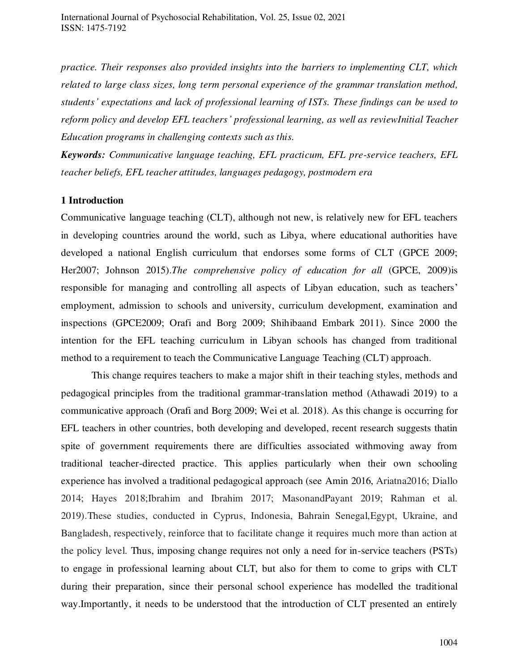*practice. Their responses also provided insights into the barriers to implementing CLT, which related to large class sizes, long term personal experience of the grammar translation method, students' expectations and lack of professional learning of ISTs. These findings can be used to reform policy and develop EFL teachers' professional learning, as well as reviewInitial Teacher Education programs in challenging contexts such as this.* 

*Keywords: Communicative language teaching, EFL practicum, EFL pre-service teachers, EFL teacher beliefs, EFL teacher attitudes, languages pedagogy, postmodern era* 

## **1 Introduction**

Communicative language teaching (CLT), although not new, is relatively new for EFL teachers in developing countries around the world, such as Libya, where educational authorities have developed a national English curriculum that endorses some forms of CLT (GPCE 2009; Her2007; Johnson 2015).*The comprehensive policy of education for all* (GPCE, 2009)is responsible for managing and controlling all aspects of Libyan education, such as teachers' employment, admission to schools and university, curriculum development, examination and inspections (GPCE2009; Orafi and Borg 2009; Shihibaand Embark 2011). Since 2000 the intention for the EFL teaching curriculum in Libyan schools has changed from traditional method to a requirement to teach the Communicative Language Teaching (CLT) approach.

This change requires teachers to make a major shift in their teaching styles, methods and pedagogical principles from the traditional grammar-translation method (Athawadi 2019) to a communicative approach (Orafi and Borg 2009; Wei et al. 2018). As this change is occurring for EFL teachers in other countries, both developing and developed, recent research suggests thatin spite of government requirements there are difficulties associated withmoving away from traditional teacher-directed practice. This applies particularly when their own schooling experience has involved a traditional pedagogical approach (see Amin 2016, Ariatna2016; Diallo 2014; Hayes 2018;Ibrahim and Ibrahim 2017; MasonandPayant 2019; Rahman et al. 2019).These studies, conducted in Cyprus, Indonesia, Bahrain Senegal,Egypt, Ukraine, and Bangladesh, respectively, reinforce that to facilitate change it requires much more than action at the policy level. Thus, imposing change requires not only a need for in-service teachers (PSTs) to engage in professional learning about CLT, but also for them to come to grips with CLT during their preparation, since their personal school experience has modelled the traditional way.Importantly, it needs to be understood that the introduction of CLT presented an entirely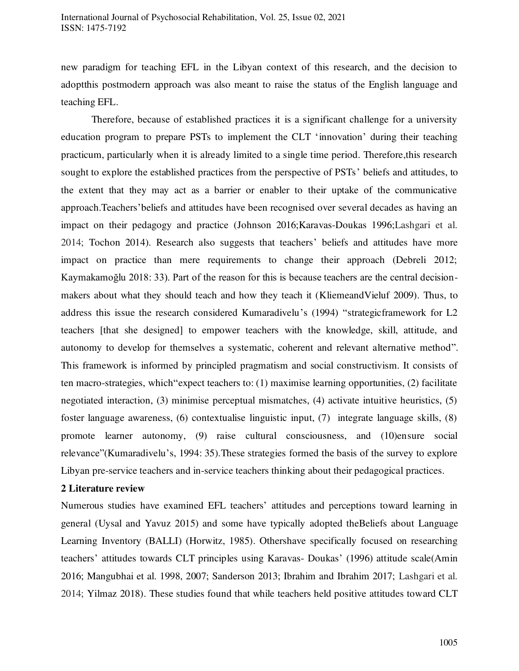new paradigm for teaching EFL in the Libyan context of this research, and the decision to adoptthis postmodern approach was also meant to raise the status of the English language and teaching EFL.

Therefore, because of established practices it is a significant challenge for a university education program to prepare PSTs to implement the CLT 'innovation' during their teaching practicum, particularly when it is already limited to a single time period. Therefore,this research sought to explore the established practices from the perspective of PSTs' beliefs and attitudes, to the extent that they may act as a barrier or enabler to their uptake of the communicative approach.Teachers'beliefs and attitudes have been recognised over several decades as having an impact on their pedagogy and practice (Johnson 2016;Karavas-Doukas 1996;Lashgari et al. 2014; Tochon 2014). Research also suggests that teachers' beliefs and attitudes have more impact on practice than mere requirements to change their approach (Debreli 2012; Kaymakamoğlu 2018: 33). Part of the reason for this is because teachers are the central decisionmakers about what they should teach and how they teach it (KliemeandVieluf 2009). Thus, to address this issue the research considered Kumaradivelu's (1994) "strategicframework for L2 teachers [that she designed] to empower teachers with the knowledge, skill, attitude, and autonomy to develop for themselves a systematic, coherent and relevant alternative method". This framework is informed by principled pragmatism and social constructivism. It consists of ten macro-strategies, which"expect teachers to: (1) maximise learning opportunities, (2) facilitate negotiated interaction, (3) minimise perceptual mismatches, (4) activate intuitive heuristics, (5) foster language awareness, (6) contextualise linguistic input, (7) integrate language skills, (8) promote learner autonomy, (9) raise cultural consciousness, and (10)ensure social relevance"(Kumaradivelu's, 1994: 35).These strategies formed the basis of the survey to explore Libyan pre-service teachers and in-service teachers thinking about their pedagogical practices.

## **2 Literature review**

Numerous studies have examined EFL teachers' attitudes and perceptions toward learning in general (Uysal and Yavuz 2015) and some have typically adopted theBeliefs about Language Learning Inventory (BALLI) (Horwitz, 1985). Othershave specifically focused on researching teachers' attitudes towards CLT principles using Karavas- Doukas' (1996) attitude scale(Amin 2016; Mangubhai et al. 1998, 2007; Sanderson 2013; Ibrahim and Ibrahim 2017; Lashgari et al. 2014; Yilmaz 2018). These studies found that while teachers held positive attitudes toward CLT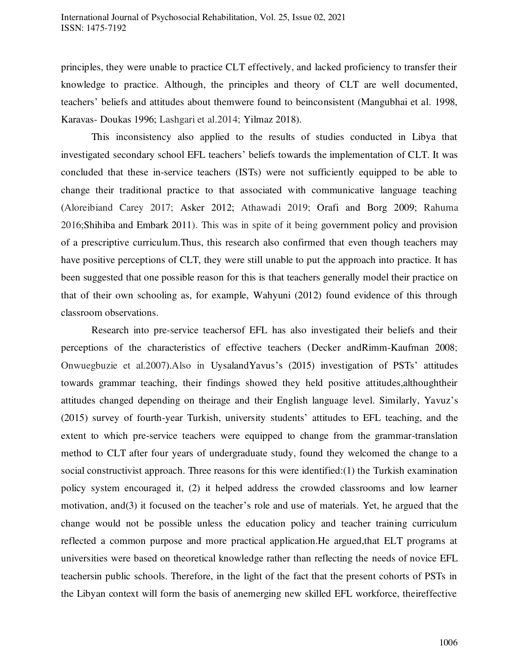principles, they were unable to practice CLT effectively, and lacked proficiency to transfer their knowledge to practice. Although, the principles and theory of CLT are well documented, teachers' beliefs and attitudes about themwere found to beinconsistent (Mangubhai et al. 1998, Karavas- Doukas 1996; Lashgari et al.2014; Yilmaz 2018).

This inconsistency also applied to the results of studies conducted in Libya that investigated secondary school EFL teachers' beliefs towards the implementation of CLT. It was concluded that these in-service teachers (ISTs) were not sufficiently equipped to be able to change their traditional practice to that associated with communicative language teaching (Aloreibiand Carey 2017; Asker 2012; Athawadi 2019; Orafi and Borg 2009; Rahuma 2016;Shihiba and Embark 2011). This was in spite of it being government policy and provision of a prescriptive curriculum.Thus, this research also confirmed that even though teachers may have positive perceptions of CLT, they were still unable to put the approach into practice. It has been suggested that one possible reason for this is that teachers generally model their practice on that of their own schooling as, for example, Wahyuni (2012) found evidence of this through classroom observations.

Research into pre-service teachersof EFL has also investigated their beliefs and their perceptions of the characteristics of effective teachers (Decker andRimm-Kaufman 2008; Onwuegbuzie et al.2007).Also in UysalandYavus's (2015) investigation of PSTs' attitudes towards grammar teaching, their findings showed they held positive attitudes,althoughtheir attitudes changed depending on theirage and their English language level. Similarly, Yavuz's (2015) survey of fourth-year Turkish, university students' attitudes to EFL teaching, and the extent to which pre-service teachers were equipped to change from the grammar-translation method to CLT after four years of undergraduate study, found they welcomed the change to a social constructivist approach. Three reasons for this were identified:(1) the Turkish examination policy system encouraged it, (2) it helped address the crowded classrooms and low learner motivation, and(3) it focused on the teacher's role and use of materials. Yet, he argued that the change would not be possible unless the education policy and teacher training curriculum reflected a common purpose and more practical application.He argued,that ELT programs at universities were based on theoretical knowledge rather than reflecting the needs of novice EFL teachersin public schools. Therefore, in the light of the fact that the present cohorts of PSTs in the Libyan context will form the basis of anemerging new skilled EFL workforce, theireffective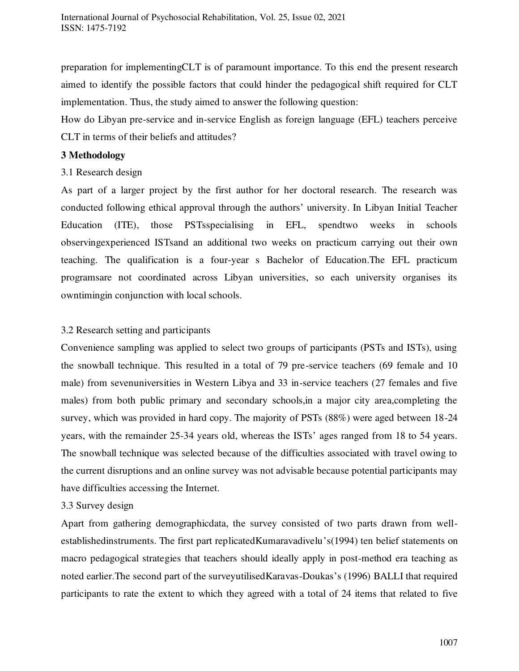preparation for implementingCLT is of paramount importance. To this end the present research aimed to identify the possible factors that could hinder the pedagogical shift required for CLT implementation. Thus, the study aimed to answer the following question:

How do Libyan pre-service and in-service English as foreign language (EFL) teachers perceive CLT in terms of their beliefs and attitudes?

# **3 Methodology**

3.1 Research design

As part of a larger project by the first author for her doctoral research. The research was conducted following ethical approval through the authors' university. In Libyan Initial Teacher Education (ITE), those PSTsspecialising in EFL, spendtwo weeks in schools observingexperienced ISTsand an additional two weeks on practicum carrying out their own teaching. The qualification is a four-year s Bachelor of Education.The EFL practicum programsare not coordinated across Libyan universities, so each university organises its owntimingin conjunction with local schools.

# 3.2 Research setting and participants

Convenience sampling was applied to select two groups of participants (PSTs and ISTs), using the snowball technique. This resulted in a total of 79 pre-service teachers (69 female and 10 male) from sevenuniversities in Western Libya and 33 in-service teachers (27 females and five males) from both public primary and secondary schools,in a major city area,completing the survey, which was provided in hard copy. The majority of PSTs (88%) were aged between 18-24 years, with the remainder 25-34 years old, whereas the ISTs' ages ranged from 18 to 54 years. The snowball technique was selected because of the difficulties associated with travel owing to the current disruptions and an online survey was not advisable because potential participants may have difficulties accessing the Internet.

# 3.3 Survey design

Apart from gathering demographicdata, the survey consisted of two parts drawn from wellestablishedinstruments. The first part replicatedKumaravadivelu's(1994) ten belief statements on macro pedagogical strategies that teachers should ideally apply in post-method era teaching as noted earlier.The second part of the surveyutilisedKaravas-Doukas's (1996) BALLI that required participants to rate the extent to which they agreed with a total of 24 items that related to five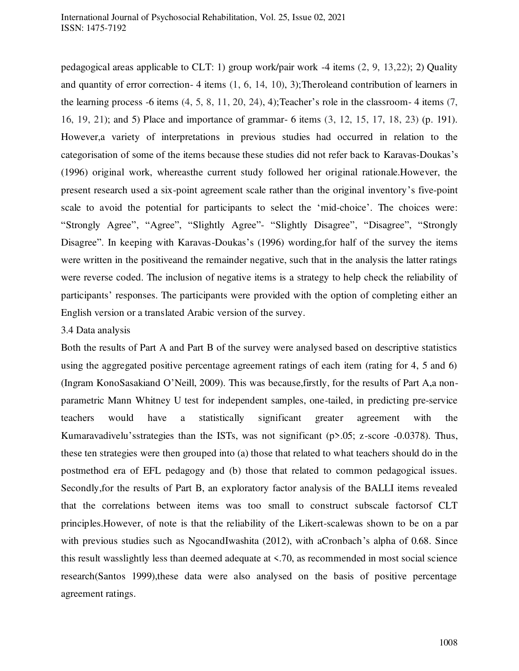pedagogical areas applicable to CLT: 1) group work/pair work -4 items (2, 9, 13,22); 2) Quality and quantity of error correction- 4 items (1, 6, 14, 10), 3);Theroleand contribution of learners in the learning process -6 items (4, 5, 8, 11, 20, 24), 4);Teacher's role in the classroom- 4 items (7, 16, 19, 21); and 5) Place and importance of grammar- 6 items (3, 12, 15, 17, 18, 23) (p. 191). However,a variety of interpretations in previous studies had occurred in relation to the categorisation of some of the items because these studies did not refer back to Karavas-Doukas's (1996) original work, whereasthe current study followed her original rationale.However, the present research used a six-point agreement scale rather than the original inventory's five-point scale to avoid the potential for participants to select the 'mid-choice'. The choices were: "Strongly Agree", "Agree", "Slightly Agree"- "Slightly Disagree", "Disagree", "Strongly Disagree". In keeping with Karavas-Doukas's (1996) wording, for half of the survey the items were written in the positiveand the remainder negative, such that in the analysis the latter ratings were reverse coded. The inclusion of negative items is a strategy to help check the reliability of participants' responses. The participants were provided with the option of completing either an English version or a translated Arabic version of the survey.

#### 3.4 Data analysis

Both the results of Part A and Part B of the survey were analysed based on descriptive statistics using the aggregated positive percentage agreement ratings of each item (rating for 4, 5 and 6) (Ingram KonoSasakiand O'Neill, 2009). This was because,firstly, for the results of Part A,a nonparametric Mann Whitney U test for independent samples, one-tailed, in predicting pre-service teachers would have a statistically significant greater agreement with the Kumaravadivelu'sstrategies than the ISTs, was not significant (p>.05; z-score -0.0378). Thus, these ten strategies were then grouped into (a) those that related to what teachers should do in the postmethod era of EFL pedagogy and (b) those that related to common pedagogical issues. Secondly,for the results of Part B, an exploratory factor analysis of the BALLI items revealed that the correlations between items was too small to construct subscale factorsof CLT principles.However, of note is that the reliability of the Likert-scalewas shown to be on a par with previous studies such as NgocandIwashita (2012), with aCronbach's alpha of 0.68. Since this result wasslightly less than deemed adequate at <.70, as recommended in most social science research(Santos 1999),these data were also analysed on the basis of positive percentage agreement ratings.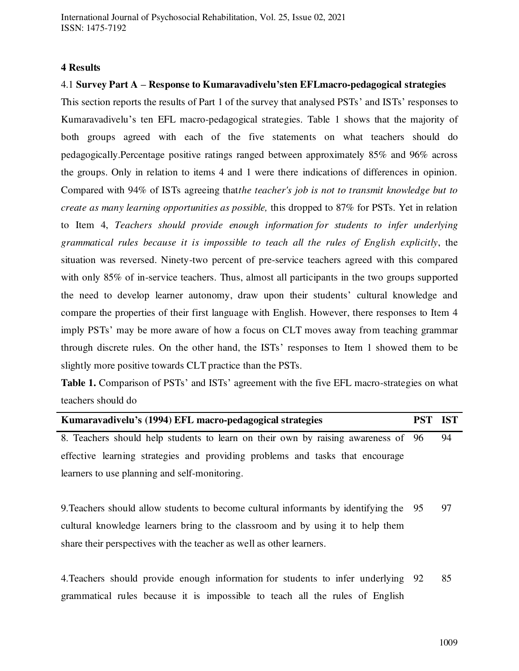## **4 Results**

#### 4.1 **Survey Part A – Response to Kumaravadivelu'sten EFLmacro-pedagogical strategies**

This section reports the results of Part 1 of the survey that analysed PSTs' and ISTs' responses to Kumaravadivelu's ten EFL macro-pedagogical strategies. Table 1 shows that the majority of both groups agreed with each of the five statements on what teachers should do pedagogically.Percentage positive ratings ranged between approximately 85% and 96% across the groups. Only in relation to items 4 and 1 were there indications of differences in opinion. Compared with 94% of ISTs agreeing that*the teacher's job is not to transmit knowledge but to create as many learning opportunities as possible,* this dropped to 87% for PSTs. Yet in relation to Item 4, *Teachers should provide enough information for students to infer underlying grammatical rules because it is impossible to teach all the rules of English explicitly*, the situation was reversed. Ninety-two percent of pre-service teachers agreed with this compared with only 85% of in-service teachers. Thus, almost all participants in the two groups supported the need to develop learner autonomy, draw upon their students' cultural knowledge and compare the properties of their first language with English. However, there responses to Item 4 imply PSTs' may be more aware of how a focus on CLT moves away from teaching grammar through discrete rules. On the other hand, the ISTs' responses to Item 1 showed them to be slightly more positive towards CLT practice than the PSTs.

**Table 1.** Comparison of PSTs' and ISTs' agreement with the five EFL macro-strategies on what teachers should do

| Kumaravadivelu's (1994) EFL macro-pedagogical strategies                              | <b>PST</b> | <b>IST</b> |
|---------------------------------------------------------------------------------------|------------|------------|
| 8. Teachers should help students to learn on their own by raising awareness of 96     |            | 94         |
| effective learning strategies and providing problems and tasks that encourage         |            |            |
| learners to use planning and self-monitoring.                                         |            |            |
|                                                                                       |            |            |
| 9. Teachers should allow students to become cultural informants by identifying the 95 |            | 97         |

cultural knowledge learners bring to the classroom and by using it to help them share their perspectives with the teacher as well as other learners.

4.Teachers should provide enough information for students to infer underlying 92 85grammatical rules because it is impossible to teach all the rules of English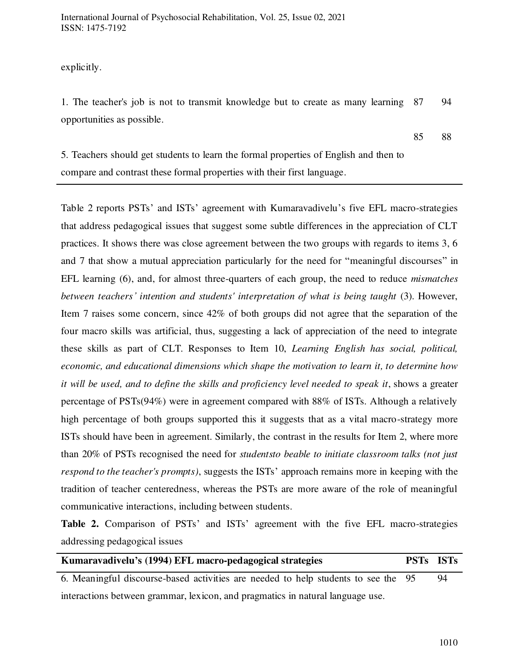explicitly.

1. The teacher's job is not to transmit knowledge but to create as many learning 87 94 opportunities as possible.

85 88

5. Teachers should get students to learn the formal properties of English and then to compare and contrast these formal properties with their first language.

Table 2 reports PSTs' and ISTs' agreement with Kumaravadivelu's five EFL macro-strategies that address pedagogical issues that suggest some subtle differences in the appreciation of CLT practices. It shows there was close agreement between the two groups with regards to items 3, 6 and 7 that show a mutual appreciation particularly for the need for "meaningful discourses" in EFL learning (6), and, for almost three-quarters of each group, the need to reduce *mismatches between teachers' intention and students' interpretation of what is being taught* (3). However, Item 7 raises some concern, since 42% of both groups did not agree that the separation of the four macro skills was artificial, thus, suggesting a lack of appreciation of the need to integrate these skills as part of CLT. Responses to Item 10, *Learning English has social, political, economic, and educational dimensions which shape the motivation to learn it, to determine how it will be used, and to define the skills and proficiency level needed to speak it, shows a greater* percentage of PSTs(94%) were in agreement compared with 88% of ISTs. Although a relatively high percentage of both groups supported this it suggests that as a vital macro-strategy more ISTs should have been in agreement. Similarly, the contrast in the results for Item 2, where more than 20% of PSTs recognised the need for *studentsto beable to initiate classroom talks (not just respond to the teacher's prompts)*, suggests the ISTs' approach remains more in keeping with the tradition of teacher centeredness, whereas the PSTs are more aware of the role of meaningful communicative interactions, including between students.

**Table 2.** Comparison of PSTs' and ISTs' agreement with the five EFL macro-strategies addressing pedagogical issues

| Kumaravadivelu's (1994) EFL macro-pedagogical strategies                           | <b>PSTs ISTs</b> |    |
|------------------------------------------------------------------------------------|------------------|----|
| 6. Meaningful discourse-based activities are needed to help students to see the 95 |                  | 94 |
| interactions between grammar, lexicon, and pragmatics in natural language use.     |                  |    |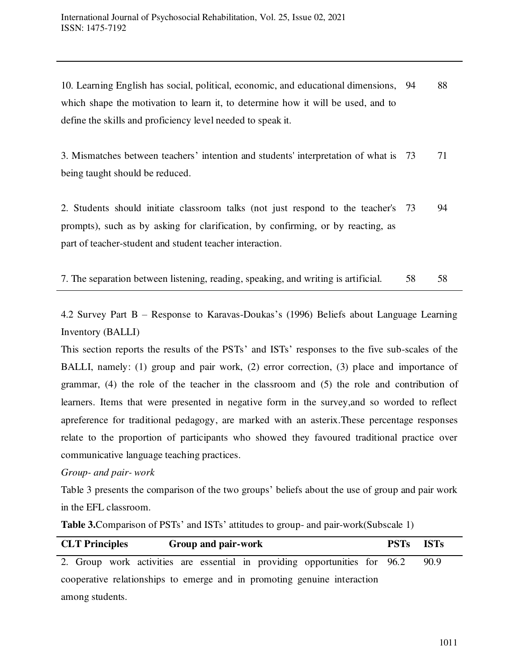10. Learning English has social, political, economic, and educational dimensions, 94 88 which shape the motivation to learn it, to determine how it will be used, and to define the skills and proficiency level needed to speak it.

3. Mismatches between teachers' intention and students' interpretation of what is 73 71 being taught should be reduced.

2. Students should initiate classroom talks (not just respond to the teacher's 73 94 prompts), such as by asking for clarification, by confirming, or by reacting, as part of teacher-student and student teacher interaction.

7. The separation between listening, reading, speaking, and writing is artificial. 58 58

4.2 Survey Part B – Response to Karavas-Doukas's (1996) Beliefs about Language Learning Inventory (BALLI)

This section reports the results of the PSTs' and ISTs' responses to the five sub-scales of the BALLI, namely: (1) group and pair work, (2) error correction, (3) place and importance of grammar, (4) the role of the teacher in the classroom and (5) the role and contribution of learners. Items that were presented in negative form in the survey,and so worded to reflect apreference for traditional pedagogy, are marked with an asterix.These percentage responses relate to the proportion of participants who showed they favoured traditional practice over communicative language teaching practices.

*Group- and pair- work* 

Table 3 presents the comparison of the two groups' beliefs about the use of group and pair work in the EFL classroom.

**Table 3.**Comparison of PSTs' and ISTs' attitudes to group- and pair-work(Subscale 1)

| <b>CLT</b> Principles<br>Group and pair-work                               | PSTs ISTs |      |  |  |  |  |
|----------------------------------------------------------------------------|-----------|------|--|--|--|--|
| 2. Group work activities are essential in providing opportunities for 96.2 |           | 90.9 |  |  |  |  |
| cooperative relationships to emerge and in promoting genuine interaction   |           |      |  |  |  |  |
| among students.                                                            |           |      |  |  |  |  |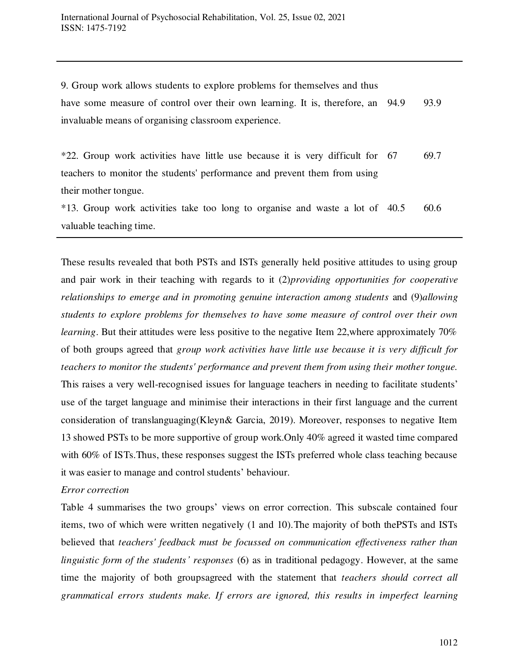9. Group work allows students to explore problems for themselves and thus have some measure of control over their own learning. It is, therefore, an 94.9 93.9 invaluable means of organising classroom experience.

| *22. Group work activities have little use because it is very difficult for 67                                                                                                                             | 69.7 |
|------------------------------------------------------------------------------------------------------------------------------------------------------------------------------------------------------------|------|
| teachers to monitor the students' performance and prevent them from using                                                                                                                                  |      |
| their mother tongue.                                                                                                                                                                                       |      |
| $\sim$ $\sim$ $\sim$ $\sim$ $\sim$ $\sim$ $\sim$ $\sim$<br>$\sim$ $\sim$<br>$\mathbf{a}$ , and $\mathbf{a}$ , and $\mathbf{a}$ , and $\mathbf{a}$ , and $\mathbf{a}$ , and $\mathbf{a}$ , and $\mathbf{a}$ |      |

|                         | *13. Group work activities take too long to organise and waste a lot of 40.5 |  |  |  |  |  | 60.6 |
|-------------------------|------------------------------------------------------------------------------|--|--|--|--|--|------|
| valuable teaching time. |                                                                              |  |  |  |  |  |      |

These results revealed that both PSTs and ISTs generally held positive attitudes to using group and pair work in their teaching with regards to it (2)*providing opportunities for cooperative relationships to emerge and in promoting genuine interaction among students* and (9)*allowing students to explore problems for themselves to have some measure of control over their own learning*. But their attitudes were less positive to the negative Item 22, where approximately 70% of both groups agreed that *group work activities have little use because it is very difficult for teachers to monitor the students' performance and prevent them from using their mother tongue.*  This raises a very well-recognised issues for language teachers in needing to facilitate students' use of the target language and minimise their interactions in their first language and the current consideration of translanguaging(Kleyn& Garcia, 2019). Moreover, responses to negative Item 13 showed PSTs to be more supportive of group work.Only 40% agreed it wasted time compared with 60% of ISTs. Thus, these responses suggest the ISTs preferred whole class teaching because it was easier to manage and control students' behaviour.

# *Error correction*

Table 4 summarises the two groups' views on error correction. This subscale contained four items, two of which were written negatively (1 and 10).The majority of both thePSTs and ISTs believed that *teachers' feedback must be focussed on communication effectiveness rather than linguistic form of the students' responses* (6) as in traditional pedagogy. However, at the same time the majority of both groupsagreed with the statement that *teachers should correct all grammatical errors students make. If errors are ignored, this results in imperfect learning*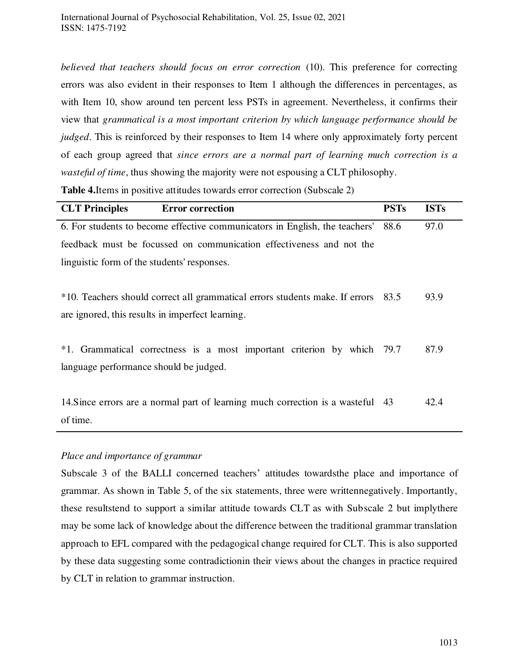*believed that teachers should focus on error correction* (10). This preference for correcting errors was also evident in their responses to Item 1 although the differences in percentages, as with Item 10, show around ten percent less PSTs in agreement. Nevertheless, it confirms their view that *grammatical is a most important criterion by which language performance should be judged*. This is reinforced by their responses to Item 14 where only approximately forty percent of each group agreed that *since errors are a normal part of learning much correction is a wasteful of time*, thus showing the majority were not espousing a CLT philosophy.

**Table 4.**Items in positive attitudes towards error correction (Subscale 2)

| <b>CLT Principles</b><br><b>Error correction</b>                                  | <b>PSTs</b> | <b>ISTs</b> |
|-----------------------------------------------------------------------------------|-------------|-------------|
| 6. For students to become effective communicators in English, the teachers'       | 88.6        | 97.0        |
| feedback must be focussed on communication effectiveness and not the              |             |             |
| linguistic form of the students' responses.                                       |             |             |
|                                                                                   |             |             |
| *10. Teachers should correct all grammatical errors students make. If errors 83.5 |             | 93.9        |
| are ignored, this results in imperfect learning.                                  |             |             |
|                                                                                   |             |             |
| *1. Grammatical correctness is a most important criterion by which 79.7           |             | 87.9        |
| language performance should be judged.                                            |             |             |
|                                                                                   |             |             |
| 14. Since errors are a normal part of learning much correction is a wasteful 43   |             | 42.4        |
| of time.                                                                          |             |             |

# *Place and importance of grammar*

Subscale 3 of the BALLI concerned teachers' attitudes towardsthe place and importance of grammar. As shown in Table 5, of the six statements, three were writtennegatively. Importantly, these resultstend to support a similar attitude towards CLT as with Subscale 2 but implythere may be some lack of knowledge about the difference between the traditional grammar translation approach to EFL compared with the pedagogical change required for CLT. This is also supported by these data suggesting some contradictionin their views about the changes in practice required by CLT in relation to grammar instruction.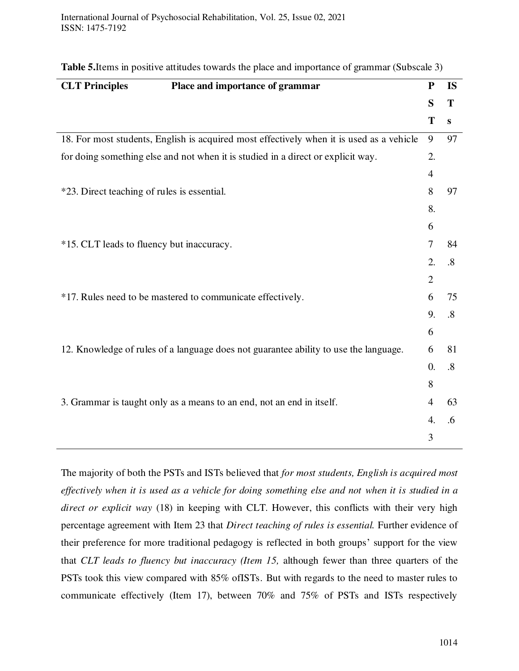| <b>CLT Principles</b>                       | Place and importance of grammar                                                          | ${\bf P}$      | <b>IS</b>         |
|---------------------------------------------|------------------------------------------------------------------------------------------|----------------|-------------------|
|                                             |                                                                                          | S              | T                 |
|                                             |                                                                                          | T              | $\mathbf{s}$      |
|                                             | 18. For most students, English is acquired most effectively when it is used as a vehicle | 9              | 97                |
|                                             | for doing something else and not when it is studied in a direct or explicit way.         | 2.             |                   |
|                                             |                                                                                          | 4              |                   |
| *23. Direct teaching of rules is essential. |                                                                                          | 8              | 97                |
|                                             |                                                                                          | 8.             |                   |
|                                             |                                                                                          | 6              |                   |
| *15. CLT leads to fluency but inaccuracy.   |                                                                                          | 7              | 84                |
|                                             |                                                                                          | 2.             | $\boldsymbol{.8}$ |
|                                             |                                                                                          | $\overline{2}$ |                   |
|                                             | *17. Rules need to be mastered to communicate effectively.                               | 6              | 75                |
|                                             |                                                                                          | 9.             | $\boldsymbol{.8}$ |
|                                             |                                                                                          | 6              |                   |
|                                             | 12. Knowledge of rules of a language does not guarantee ability to use the language.     | 6              | 81                |
|                                             |                                                                                          | $\theta$ .     | $\boldsymbol{.8}$ |
|                                             |                                                                                          | 8              |                   |
|                                             | 3. Grammar is taught only as a means to an end, not an end in itself.                    | $\overline{4}$ | 63                |
|                                             |                                                                                          | 4.             | .6                |
|                                             |                                                                                          | 3              |                   |

|  |  |  | <b>Table 5.</b> Items in positive attitudes towards the place and importance of grammar (Subscale 3) |  |  |
|--|--|--|------------------------------------------------------------------------------------------------------|--|--|
|--|--|--|------------------------------------------------------------------------------------------------------|--|--|

The majority of both the PSTs and ISTs believed that *for most students, English is acquired most effectively when it is used as a vehicle for doing something else and not when it is studied in a direct or explicit way* (18) in keeping with CLT. However, this conflicts with their very high percentage agreement with Item 23 that *Direct teaching of rules is essential.* Further evidence of their preference for more traditional pedagogy is reflected in both groups' support for the view that *CLT leads to fluency but inaccuracy (Item 15,* although fewer than three quarters of the PSTs took this view compared with 85% ofISTs. But with regards to the need to master rules to communicate effectively (Item 17), between 70% and 75% of PSTs and ISTs respectively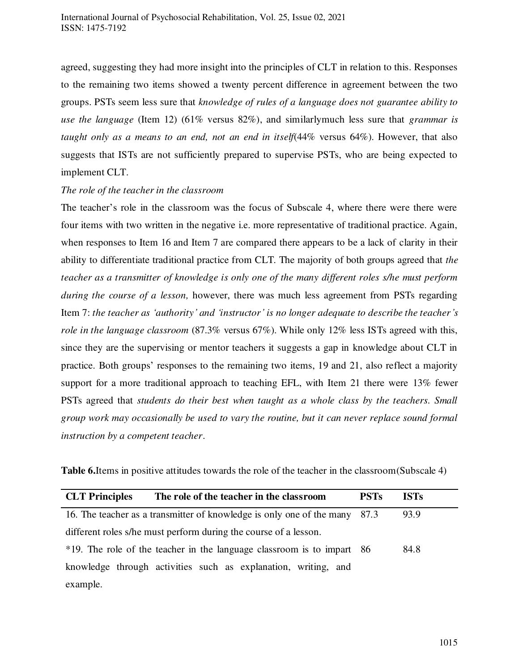agreed, suggesting they had more insight into the principles of CLT in relation to this. Responses to the remaining two items showed a twenty percent difference in agreement between the two groups. PSTs seem less sure that *knowledge of rules of a language does not guarantee ability to use the language* (Item 12) (61% versus 82%), and similarlymuch less sure that *grammar is taught only as a means to an end, not an end in itself*(44% versus 64%). However, that also suggests that ISTs are not sufficiently prepared to supervise PSTs, who are being expected to implement CLT.

# *The role of the teacher in the classroom*

The teacher's role in the classroom was the focus of Subscale 4, where there were there were four items with two written in the negative i.e. more representative of traditional practice. Again, when responses to Item 16 and Item 7 are compared there appears to be a lack of clarity in their ability to differentiate traditional practice from CLT. The majority of both groups agreed that *the teacher as a transmitter of knowledge is only one of the many different roles s/he must perform during the course of a lesson,* however, there was much less agreement from PSTs regarding Item 7: *the teacher as 'authority' and 'instructor' is no longer adequate to describe the teacher's role in the language classroom* (87.3% versus 67%). While only 12% less ISTs agreed with this, since they are the supervising or mentor teachers it suggests a gap in knowledge about CLT in practice. Both groups' responses to the remaining two items, 19 and 21, also reflect a majority support for a more traditional approach to teaching EFL, with Item 21 there were 13% fewer PSTs agreed that *students do their best when taught as a whole class by the teachers. Small group work may occasionally be used to vary the routine, but it can never replace sound formal instruction by a competent teacher*.

| <b>CLT Principles</b> | The role of the teacher in the classroom                               | <b>PSTs</b> | <b>ISTs</b> |
|-----------------------|------------------------------------------------------------------------|-------------|-------------|
|                       | 16. The teacher as a transmitter of knowledge is only one of the many  | 87.3        | 93.9        |
|                       | different roles s/he must perform during the course of a lesson.       |             |             |
|                       | *19. The role of the teacher in the language classroom is to impart 86 |             | 84.8        |
|                       | knowledge through activities such as explanation, writing, and         |             |             |
| example.              |                                                                        |             |             |

**Table 6.**Items in positive attitudes towards the role of the teacher in the classroom(Subscale 4)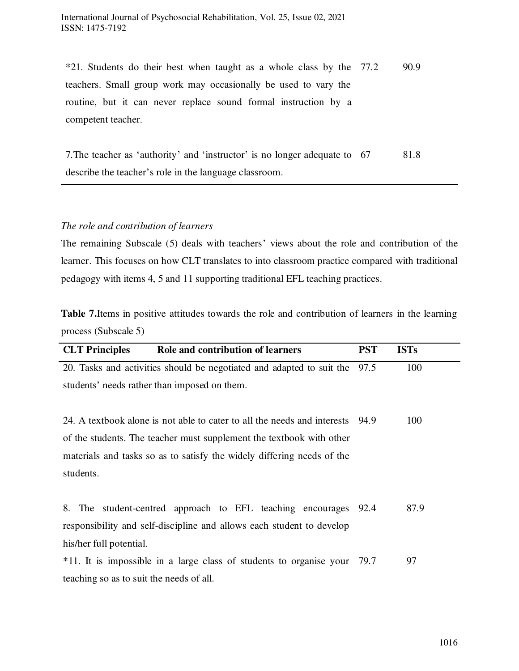\*21. Students do their best when taught as a whole class by the 77.2 90.9 teachers. Small group work may occasionally be used to vary the routine, but it can never replace sound formal instruction by a competent teacher.

7. The teacher as 'authority' and 'instructor' is no longer adequate to 67 describe the teacher's role in the language classroom. 81.8

## *The role and contribution of learners*

The remaining Subscale (5) deals with teachers' views about the role and contribution of the learner. This focuses on how CLT translates to into classroom practice compared with traditional pedagogy with items 4, 5 and 11 supporting traditional EFL teaching practices.

**Table 7.**Items in positive attitudes towards the role and contribution of learners in the learning process (Subscale 5)

| <b>CLT</b> Principles<br>Role and contribution of learners               | <b>PST</b> | <b>ISTs</b> |
|--------------------------------------------------------------------------|------------|-------------|
| 20. Tasks and activities should be negotiated and adapted to suit the    | 97.5       | 100         |
| students' needs rather than imposed on them.                             |            |             |
|                                                                          |            |             |
| 24. A textbook alone is not able to cater to all the needs and interests | -94.9      | 100         |
| of the students. The teacher must supplement the textbook with other     |            |             |
| materials and tasks so as to satisfy the widely differing needs of the   |            |             |
| students.                                                                |            |             |
|                                                                          |            |             |
| 8. The student-centred approach to EFL teaching encourages 92.4          |            | 87.9        |
| responsibility and self-discipline and allows each student to develop    |            |             |
| his/her full potential.                                                  |            |             |
| *11. It is impossible in a large class of students to organise your 79.7 |            | 97          |
| teaching so as to suit the needs of all.                                 |            |             |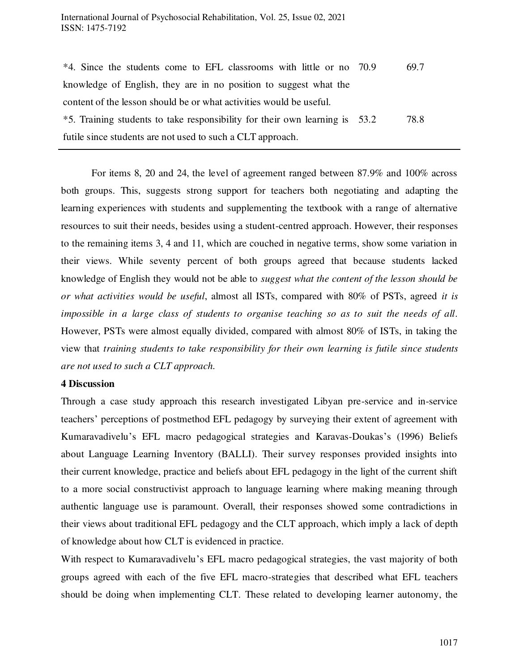| *4. Since the students come to EFL classrooms with little or no 70.9        | 69.7 |
|-----------------------------------------------------------------------------|------|
| knowledge of English, they are in no position to suggest what the           |      |
| content of the lesson should be or what activities would be useful.         |      |
| *5. Training students to take responsibility for their own learning is 53.2 | 78.8 |
| futile since students are not used to such a CLT approach.                  |      |

For items 8, 20 and 24, the level of agreement ranged between 87.9% and 100% across both groups. This, suggests strong support for teachers both negotiating and adapting the learning experiences with students and supplementing the textbook with a range of alternative resources to suit their needs, besides using a student-centred approach. However, their responses to the remaining items 3, 4 and 11, which are couched in negative terms, show some variation in their views. While seventy percent of both groups agreed that because students lacked knowledge of English they would not be able to *suggest what the content of the lesson should be or what activities would be useful*, almost all ISTs, compared with 80% of PSTs, agreed *it is impossible in a large class of students to organise teaching so as to suit the needs of all*. However, PSTs were almost equally divided, compared with almost 80% of ISTs, in taking the view that *training students to take responsibility for their own learning is futile since students are not used to such a CLT approach.*

## **4 Discussion**

Through a case study approach this research investigated Libyan pre-service and in-service teachers' perceptions of postmethod EFL pedagogy by surveying their extent of agreement with Kumaravadivelu's EFL macro pedagogical strategies and Karavas-Doukas's (1996) Beliefs about Language Learning Inventory (BALLI). Their survey responses provided insights into their current knowledge, practice and beliefs about EFL pedagogy in the light of the current shift to a more social constructivist approach to language learning where making meaning through authentic language use is paramount. Overall, their responses showed some contradictions in their views about traditional EFL pedagogy and the CLT approach, which imply a lack of depth of knowledge about how CLT is evidenced in practice.

With respect to Kumaravadivelu's EFL macro pedagogical strategies, the vast majority of both groups agreed with each of the five EFL macro-strategies that described what EFL teachers should be doing when implementing CLT. These related to developing learner autonomy, the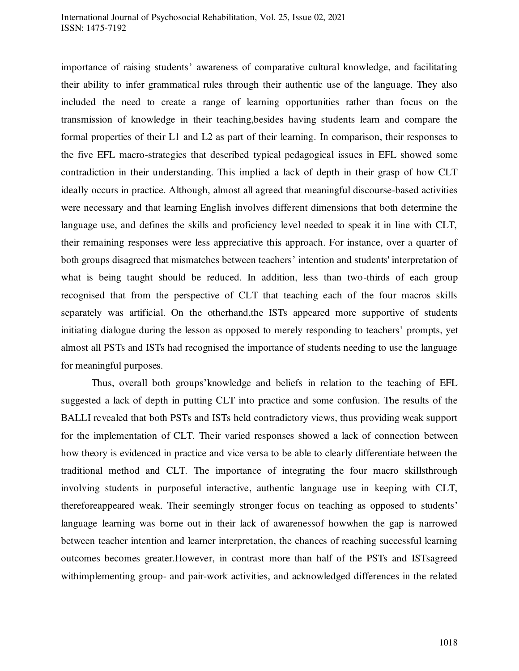importance of raising students' awareness of comparative cultural knowledge, and facilitating their ability to infer grammatical rules through their authentic use of the language. They also included the need to create a range of learning opportunities rather than focus on the transmission of knowledge in their teaching,besides having students learn and compare the formal properties of their L1 and L2 as part of their learning. In comparison, their responses to the five EFL macro-strategies that described typical pedagogical issues in EFL showed some contradiction in their understanding. This implied a lack of depth in their grasp of how CLT ideally occurs in practice. Although, almost all agreed that meaningful discourse-based activities were necessary and that learning English involves different dimensions that both determine the language use, and defines the skills and proficiency level needed to speak it in line with CLT, their remaining responses were less appreciative this approach. For instance, over a quarter of both groups disagreed that mismatches between teachers' intention and students' interpretation of what is being taught should be reduced. In addition, less than two-thirds of each group recognised that from the perspective of CLT that teaching each of the four macros skills separately was artificial. On the otherhand,the ISTs appeared more supportive of students initiating dialogue during the lesson as opposed to merely responding to teachers' prompts, yet almost all PSTs and ISTs had recognised the importance of students needing to use the language for meaningful purposes.

Thus, overall both groups'knowledge and beliefs in relation to the teaching of EFL suggested a lack of depth in putting CLT into practice and some confusion. The results of the BALLI revealed that both PSTs and ISTs held contradictory views, thus providing weak support for the implementation of CLT. Their varied responses showed a lack of connection between how theory is evidenced in practice and vice versa to be able to clearly differentiate between the traditional method and CLT. The importance of integrating the four macro skillsthrough involving students in purposeful interactive, authentic language use in keeping with CLT, thereforeappeared weak. Their seemingly stronger focus on teaching as opposed to students' language learning was borne out in their lack of awarenessof howwhen the gap is narrowed between teacher intention and learner interpretation, the chances of reaching successful learning outcomes becomes greater.However, in contrast more than half of the PSTs and ISTsagreed withimplementing group- and pair-work activities, and acknowledged differences in the related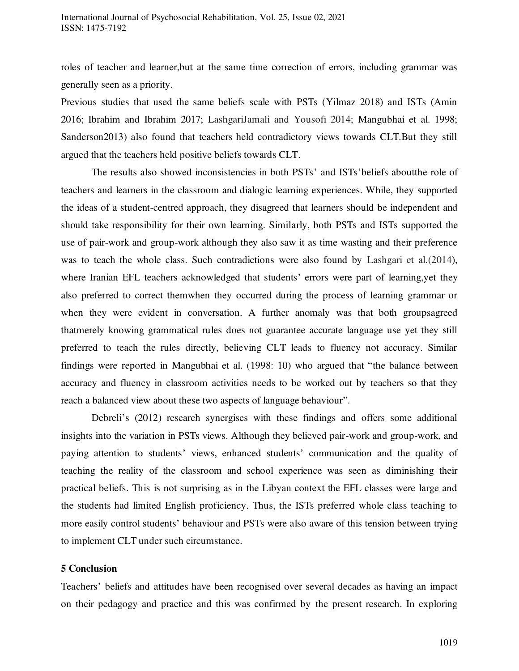roles of teacher and learner,but at the same time correction of errors, including grammar was generally seen as a priority.

Previous studies that used the same beliefs scale with PSTs (Yilmaz 2018) and ISTs (Amin 2016; Ibrahim and Ibrahim 2017; LashgariJamali and Yousofi 2014; Mangubhai et al. 1998; Sanderson2013) also found that teachers held contradictory views towards CLT.But they still argued that the teachers held positive beliefs towards CLT.

The results also showed inconsistencies in both PSTs' and ISTs'beliefs aboutthe role of teachers and learners in the classroom and dialogic learning experiences. While, they supported the ideas of a student-centred approach, they disagreed that learners should be independent and should take responsibility for their own learning. Similarly, both PSTs and ISTs supported the use of pair-work and group-work although they also saw it as time wasting and their preference was to teach the whole class. Such contradictions were also found by Lashgari et al.(2014), where Iranian EFL teachers acknowledged that students' errors were part of learning,yet they also preferred to correct themwhen they occurred during the process of learning grammar or when they were evident in conversation. A further anomaly was that both groupsagreed thatmerely knowing grammatical rules does not guarantee accurate language use yet they still preferred to teach the rules directly, believing CLT leads to fluency not accuracy. Similar findings were reported in Mangubhai et al. (1998: 10) who argued that "the balance between accuracy and fluency in classroom activities needs to be worked out by teachers so that they reach a balanced view about these two aspects of language behaviour".

Debreli's (2012) research synergises with these findings and offers some additional insights into the variation in PSTs views. Although they believed pair-work and group-work, and paying attention to students' views, enhanced students' communication and the quality of teaching the reality of the classroom and school experience was seen as diminishing their practical beliefs. This is not surprising as in the Libyan context the EFL classes were large and the students had limited English proficiency. Thus, the ISTs preferred whole class teaching to more easily control students' behaviour and PSTs were also aware of this tension between trying to implement CLT under such circumstance.

## **5 Conclusion**

Teachers' beliefs and attitudes have been recognised over several decades as having an impact on their pedagogy and practice and this was confirmed by the present research. In exploring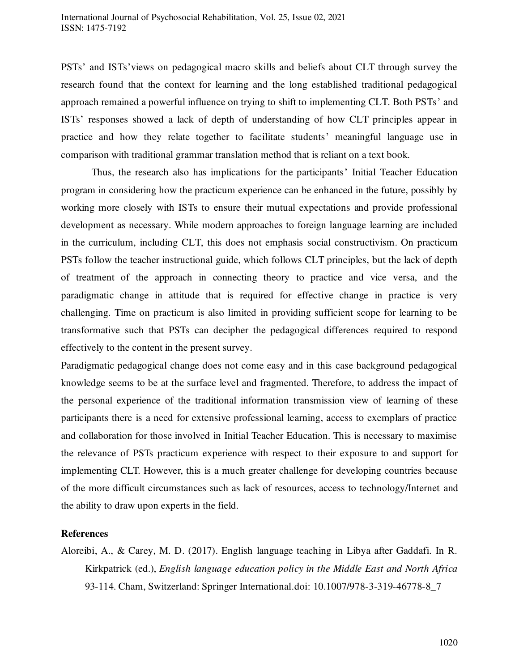PSTs' and ISTs'views on pedagogical macro skills and beliefs about CLT through survey the research found that the context for learning and the long established traditional pedagogical approach remained a powerful influence on trying to shift to implementing CLT. Both PSTs' and ISTs' responses showed a lack of depth of understanding of how CLT principles appear in practice and how they relate together to facilitate students' meaningful language use in comparison with traditional grammar translation method that is reliant on a text book.

Thus, the research also has implications for the participants' Initial Teacher Education program in considering how the practicum experience can be enhanced in the future, possibly by working more closely with ISTs to ensure their mutual expectations and provide professional development as necessary. While modern approaches to foreign language learning are included in the curriculum, including CLT, this does not emphasis social constructivism. On practicum PSTs follow the teacher instructional guide, which follows CLT principles, but the lack of depth of treatment of the approach in connecting theory to practice and vice versa, and the paradigmatic change in attitude that is required for effective change in practice is very challenging. Time on practicum is also limited in providing sufficient scope for learning to be transformative such that PSTs can decipher the pedagogical differences required to respond effectively to the content in the present survey.

Paradigmatic pedagogical change does not come easy and in this case background pedagogical knowledge seems to be at the surface level and fragmented. Therefore, to address the impact of the personal experience of the traditional information transmission view of learning of these participants there is a need for extensive professional learning, access to exemplars of practice and collaboration for those involved in Initial Teacher Education. This is necessary to maximise the relevance of PSTs practicum experience with respect to their exposure to and support for implementing CLT. However, this is a much greater challenge for developing countries because of the more difficult circumstances such as lack of resources, access to technology/Internet and the ability to draw upon experts in the field.

# **References**

Aloreibi, A., & Carey, M. D. (2017). English language teaching in Libya after Gaddafi. In R. Kirkpatrick (ed.), *English language education policy in the Middle East and North Africa* 93-114. Cham, Switzerland: Springer International.doi: 10.1007/978-3-319-46778-8\_7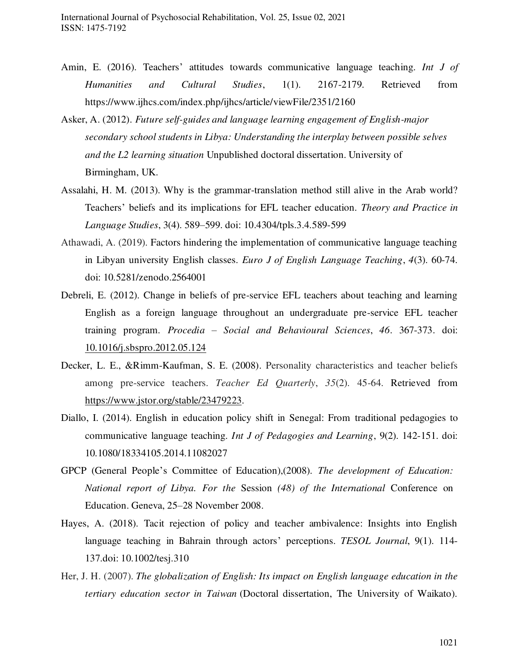- Amin, E. (2016). Teachers' attitudes towards communicative language teaching. *Int J of Humanities and Cultural Studies*, 1(1). 2167-2179. Retrieved from https://www.ijhcs.com/index.php/ijhcs/article/viewFile/2351/2160
- Asker, A. (2012). *Future self-guides and language learning engagement of English-major secondary school students in Libya: Understanding the interplay between possible selves and the L2 learning situation* Unpublished doctoral dissertation. University of Birmingham, UK.
- Assalahi, H. M. (2013). Why is the grammar-translation method still alive in the Arab world? Teachers' beliefs and its implications for EFL teacher education. *Theory and Practice in Language Studies*, 3(4). 589–599. doi: 10.4304/tpls.3.4.589-599
- Athawadi, A. (2019). Factors hindering the implementation of communicative language teaching in Libyan university English classes. *Euro J of English Language Teaching*, *4*(3). 60-74. doi: 10.5281/zenodo.2564001
- Debreli, E. (2012). Change in beliefs of pre-service EFL teachers about teaching and learning English as a foreign language throughout an undergraduate pre-service EFL teacher training program. *Procedia – Social and Behavioural Sciences*, *46*. 367-373. doi: [10.1016/j.sbspro.2012.05.124](https://doi.org/10.1016/j.sbspro.2012.05.124)
- Decker, L. E., &Rimm-Kaufman, S. E. (2008). Personality characteristics and teacher beliefs among pre-service teachers. *Teacher Ed Quarterly*, *35*(2). 45-64. Retrieved from [https://www.jstor.org/stable/23479223.](https://www.jstor.org/stable/23479223)
- Diallo, I. (2014). English in education policy shift in Senegal: From traditional pedagogies to communicative language teaching. *Int J of Pedagogies and Learning*, 9(2). 142-151. doi: 10.1080/18334105.2014.11082027
- GPCP (General People's Committee of Education),(2008). *The development of Education: National report of Libya. For the* Session *(48) of the International* Conference on Education. Geneva, 25–28 November 2008.
- Hayes, A. (2018). Tacit rejection of policy and teacher ambivalence: Insights into English language teaching in Bahrain through actors' perceptions. *TESOL Journal*, 9(1). 114- 137.doi: 10.1002/tesj.310
- Her, J. H. (2007). *The globalization of English: Its impact on English language education in the tertiary education sector in Taiwan* (Doctoral dissertation, The University of Waikato).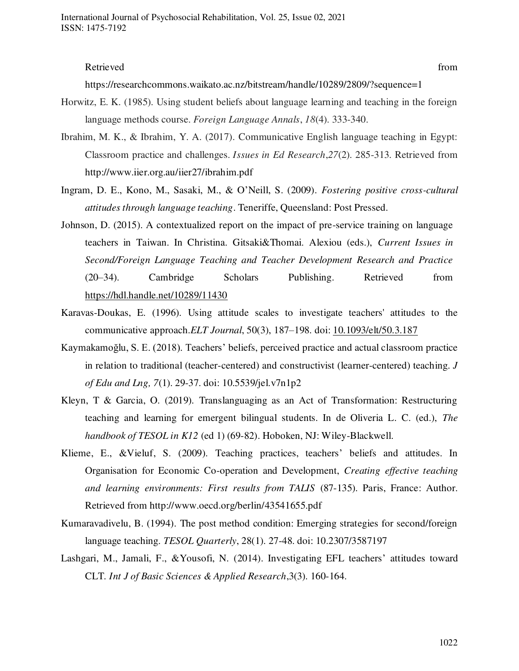#### Retrieved from the state of the state of the state of the state of the state of the state of the state of the state of the state of the state of the state of the state of the state of the state of the state of the state of

https://researchcommons.waikato.ac.nz/bitstream/handle/10289/2809/?sequence=1

- Horwitz, E. K. (1985). Using student beliefs about language learning and teaching in the foreign language methods course. *Foreign Language Annals*, *18*(4). 333-340.
- Ibrahim, M. K., & Ibrahim, Y. A. (2017). Communicative English language teaching in Egypt: Classroom practice and challenges. *Issues in Ed Research*,*27*(2). 285-313. Retrieved from http://www.iier.org.au/iier27/ibrahim.pdf
- Ingram, D. E., Kono, M., Sasaki, M., & O'Neill, S. (2009). *Fostering positive cross-cultural attitudes through language teaching*. Teneriffe, Queensland: Post Pressed.
- Johnson, D. (2015). A contextualized report on the impact of pre-service training on language teachers in Taiwan. In Christina. Gitsaki&Thomai. Alexiou (eds.), *Current Issues in Second/Foreign Language Teaching and Teacher Development Research and Practice* (20–34). Cambridge Scholars Publishing. Retrieved from <https://hdl.handle.net/10289/11430>
- Karavas-Doukas, E. (1996). Using attitude scales to investigate teachers' attitudes to the communicative approach.*ELT Journal*, 50(3), 187–198. doi: [10.1093/elt/50.3.187](https://doi.org/10.1093/elt/50.3.187)
- Kaymakamoğlu, S. E. (2018). Teachers' beliefs, perceived practice and actual classroom practice in relation to traditional (teacher-centered) and constructivist (learner-centered) teaching. *J of Edu and Lng, 7*(1). 29-37. doi: 10.5539/jel.v7n1p2
- Kleyn, T & Garcia, O. (2019). Translanguaging as an Act of Transformation: Restructuring teaching and learning for emergent bilingual students. In de Oliveria L. C. (ed.), *The handbook of TESOL in K12* (ed 1) (69-82). Hoboken, NJ: Wiley-Blackwell.
- Klieme, E., &Vieluf, S. (2009). Teaching practices, teachers' beliefs and attitudes. In Organisation for Economic Co-operation and Development, *Creating effective teaching and learning environments: First results from TALIS* (87-135). Paris, France: Author. Retrieved from http://www.oecd.org/berlin/43541655.pdf
- Kumaravadivelu, B. (1994). The post method condition: Emerging strategies for second/foreign language teaching. *TESOL Quarterly*, 28(1). 27-48. doi: 10.2307/3587197
- Lashgari, M., Jamali, F., &Yousofi, N. (2014). Investigating EFL teachers' attitudes toward CLT. *Int J of Basic Sciences & Applied Research*,3(3). 160-164.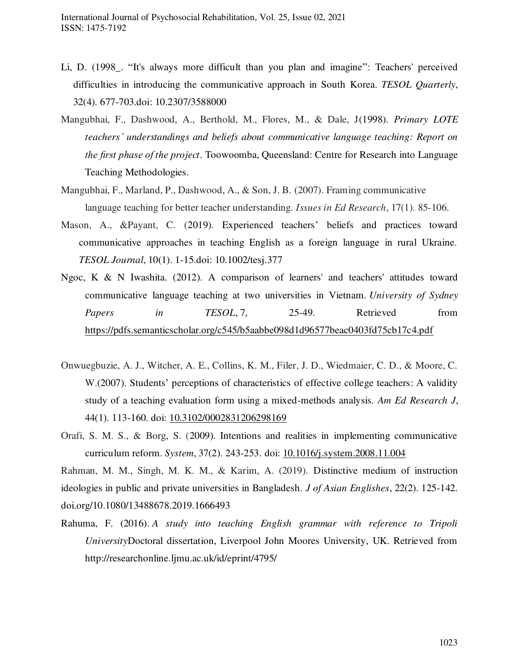- Li, D. (1998. "It's always more difficult than you plan and imagine": Teachers' perceived difficulties in introducing the communicative approach in South Korea. *TESOL Quarterly*, 32(4). 677-703.doi: 10.2307/3588000
- Mangubhai, F., Dashwood, A., Berthold, M., Flores, M., & Dale, J(1998). *Primary LOTE teachers' understandings and beliefs about communicative language teaching: Report on the first phase of the project*. Toowoomba, Queensland: Centre for Research into Language Teaching Methodologies.
- Mangubhai, F., Marland, P., Dashwood, A., & Son, J. B. (2007). Framing communicative language teaching for better teacher understanding. *Issues in Ed Research*, 17(1). 85-106.
- Mason, A., &Payant, C. (2019). Experienced teachers' beliefs and practices toward communicative approaches in teaching English as a foreign language in rural Ukraine. *TESOL Journal*, 10(1). 1-15.doi: 10.1002/tesj.377
- Ngoc, K & N Iwashita. (2012). A comparison of learners' and teachers' attitudes toward communicative language teaching at two universities in Vietnam. *University of Sydney Papers in TESOL*, 7, 25-49. Retrieved from <https://pdfs.semanticscholar.org/c545/b5aabbe098d1d96577beac0403fd75cb17c4.pdf>
- Onwuegbuzie, A. J., Witcher, A. E., Collins, K. M., Filer, J. D., Wiedmaier, C. D., & Moore, C. W.(2007). Students' perceptions of characteristics of effective college teachers: A validity study of a teaching evaluation form using a mixed-methods analysis. *Am Ed Research J*, 44(1). 113-160. doi: [10.3102/0002831206298169](https://doi.org/10.3102%2F0002831206298169)
- Orafi, S. M. S., & Borg, S. (2009). Intentions and realities in implementing communicative curriculum reform. *System*, 37(2). 243-253. doi: [10.1016/j.system.2008.11.004](https://doi.org/10.1016/j.system.2008.11.004)

Rahman, M. M., Singh, M. K. M., & Karim, A. (2019). Distinctive medium of instruction ideologies in public and private universities in Bangladesh. *J of Asian Englishes*, 22(2). 125-142. doi.org/10.1080/13488678.2019.1666493

Rahuma, F. (2016). *A study into teaching English grammar with reference to Tripoli University*Doctoral dissertation, Liverpool John Moores University, UK. Retrieved from http://researchonline.ljmu.ac.uk/id/eprint/4795/